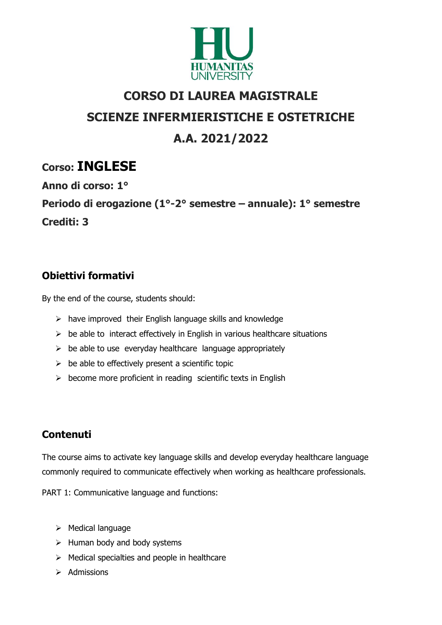

# CORSO DI LAUREA MAGISTRALE SCIENZE INFERMIERISTICHE E OSTETRICHE A.A. 2021/2022

## Corso: INGLESE

Anno di corso: 1°

Periodo di erogazione (1°-2° semestre – annuale): 1° semestre Crediti: 3

## Obiettivi formativi

By the end of the course, students should:

- $\triangleright$  have improved their English language skills and knowledge
- $\triangleright$  be able to interact effectively in English in various healthcare situations
- $\triangleright$  be able to use everyday healthcare language appropriately
- $\triangleright$  be able to effectively present a scientific topic
- $\triangleright$  become more proficient in reading scientific texts in English

## **Contenuti**

The course aims to activate key language skills and develop everyday healthcare language commonly required to communicate effectively when working as healthcare professionals.

PART 1: Communicative language and functions:

- $\triangleright$  Medical language
- $\triangleright$  Human body and body systems
- $\triangleright$  Medical specialties and people in healthcare
- $\triangleright$  Admissions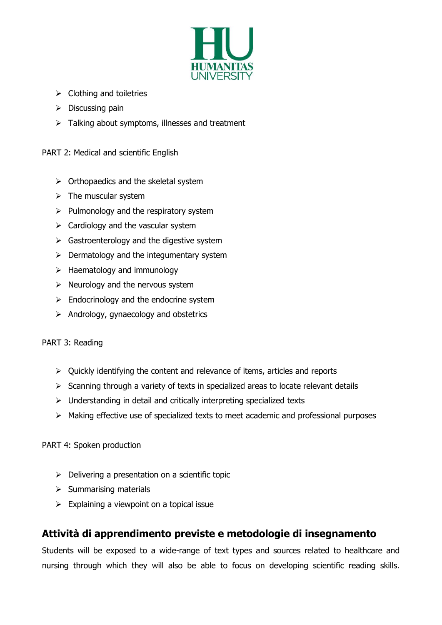

- $\triangleright$  Clothing and toiletries
- $\triangleright$  Discussing pain
- $\triangleright$  Talking about symptoms, illnesses and treatment

PART 2: Medical and scientific English

- $\triangleright$  Orthopaedics and the skeletal system
- $\triangleright$  The muscular system
- $\triangleright$  Pulmonology and the respiratory system
- $\triangleright$  Cardiology and the vascular system
- $\triangleright$  Gastroenterology and the digestive system
- $\triangleright$  Dermatology and the integumentary system
- $\triangleright$  Haematology and immunology
- $\triangleright$  Neurology and the nervous system
- $\triangleright$  Endocrinology and the endocrine system
- $\triangleright$  Andrology, gynaecology and obstetrics

#### PART 3: Reading

- $\triangleright$  Quickly identifying the content and relevance of items, articles and reports
- $\triangleright$  Scanning through a variety of texts in specialized areas to locate relevant details
- $\triangleright$  Understanding in detail and critically interpreting specialized texts
- $\triangleright$  Making effective use of specialized texts to meet academic and professional purposes

#### PART 4: Spoken production

- $\triangleright$  Delivering a presentation on a scientific topic
- $\triangleright$  Summarising materials
- $\triangleright$  Explaining a viewpoint on a topical issue

### Attività di apprendimento previste e metodologie di insegnamento

Students will be exposed to a wide-range of text types and sources related to healthcare and nursing through which they will also be able to focus on developing scientific reading skills.